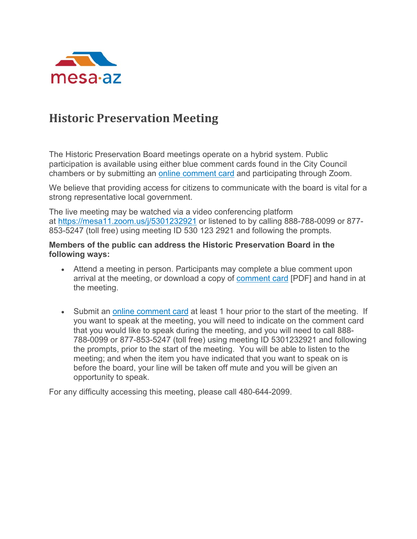

# **Historic Preservation Meeting**

The Historic Preservation Board meetings operate on a hybrid system. Public participation is available using either blue comment cards found in the City Council chambers or by submitting an [online comment card](https://www.mesaaz.gov/government/advisory-boards-committees/historic-preservation-board/online-meeting-comment-card) and participating through Zoom.

We believe that providing access for citizens to communicate with the board is vital for a strong representative local government.

The live meeting may be watched via a video conferencing platform at <https://mesa11.zoom.us/j/5301232921> or listened to by calling 888-788-0099 or 877- 853-5247 (toll free) using meeting ID 530 123 2921 and following the prompts.

#### **Members of the public can address the Historic Preservation Board in the following ways:**

- Attend a meeting in person. Participants may complete a blue comment upon arrival at the meeting, or download a copy of [comment card](https://www.mesaaz.gov/home/showpublisheddocument/7518/635576351891730000) [PDF] and hand in at the meeting.
- Submit an [online comment card](https://www.mesaaz.gov/government/advisory-boards-committees/historic-preservation-board/online-meeting-comment-card) at least 1 hour prior to the start of the meeting. If you want to speak at the meeting, you will need to indicate on the comment card that you would like to speak during the meeting, and you will need to call 888- 788-0099 or 877-853-5247 (toll free) using meeting ID 5301232921 and following the prompts, prior to the start of the meeting. You will be able to listen to the meeting; and when the item you have indicated that you want to speak on is before the board, your line will be taken off mute and you will be given an opportunity to speak.

For any difficulty accessing this meeting, please call 480-644-2099.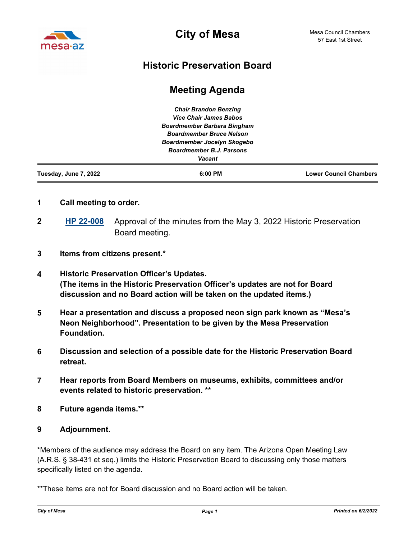

**City of Mesa**

### **Historic Preservation Board**

## **Meeting Agenda**

| <b>Lower Council Chambers</b> |
|-------------------------------|
|                               |
|                               |
|                               |
|                               |
|                               |
|                               |
|                               |

- **1 Call meeting to order.**
- **[HP 22-008](http://mesa.legistar.com/gateway.aspx?m=l&id=/matter.aspx?key=18683)** Approval of the minutes from the May 3, 2022 Historic Preservation Board meeting. **2**
- **3 Items from citizens present.\***
- **4 Historic Preservation Officer's Updates. (The items in the Historic Preservation Officer's updates are not for Board discussion and no Board action will be taken on the updated items.)**
- **5 Hear a presentation and discuss a proposed neon sign park known as "Mesa's Neon Neighborhood". Presentation to be given by the Mesa Preservation Foundation.**
- **6 Discussion and selection of a possible date for the Historic Preservation Board retreat.**
- **7 Hear reports from Board Members on museums, exhibits, committees and/or events related to historic preservation. \*\***
- **8 Future agenda items.\*\***

#### **9 Adjournment.**

\*Members of the audience may address the Board on any item. The Arizona Open Meeting Law (A.R.S. § 38-431 et seq.) limits the Historic Preservation Board to discussing only those matters specifically listed on the agenda.

\*\*These items are not for Board discussion and no Board action will be taken.